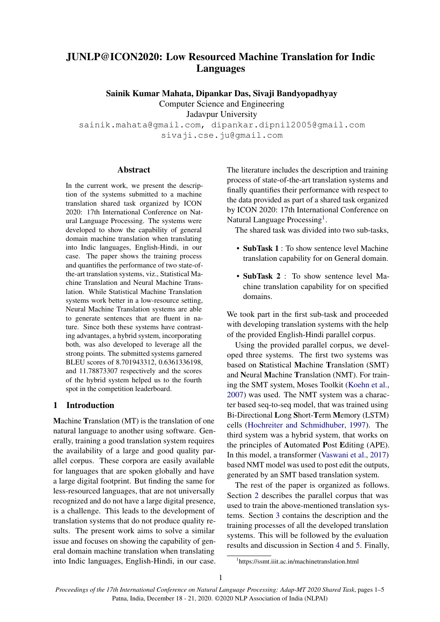# JUNLP@ICON2020: Low Resourced Machine Translation for Indic Languages

Sainik Kumar Mahata, Dipankar Das, Sivaji Bandyopadhyay

Computer Science and Engineering

Jadavpur University

sainik.mahata@gmail.com, dipankar.dipnil2005@gmail.com sivaji.cse.ju@gmail.com

### Abstract

In the current work, we present the description of the systems submitted to a machine translation shared task organized by ICON 2020: 17th International Conference on Natural Language Processing. The systems were developed to show the capability of general domain machine translation when translating into Indic languages, English-Hindi, in our case. The paper shows the training process and quantifies the performance of two state-ofthe-art translation systems, viz., Statistical Machine Translation and Neural Machine Translation. While Statistical Machine Translation systems work better in a low-resource setting, Neural Machine Translation systems are able to generate sentences that are fluent in nature. Since both these systems have contrasting advantages, a hybrid system, incorporating both, was also developed to leverage all the strong points. The submitted systems garnered BLEU scores of 8.701943312, 0.6361336198, and 11.78873307 respectively and the scores of the hybrid system helped us to the fourth spot in the competition leaderboard.

## 1 Introduction

Machine Translation (MT) is the translation of one natural language to another using software. Generally, training a good translation system requires the availability of a large and good quality parallel corpus. These corpora are easily available for languages that are spoken globally and have a large digital footprint. But finding the same for less-resourced languages, that are not universally recognized and do not have a large digital presence, is a challenge. This leads to the development of translation systems that do not produce quality results. The present work aims to solve a similar issue and focuses on showing the capability of general domain machine translation when translating into Indic languages, English-Hindi, in our case. The literature includes the description and training process of state-of-the-art translation systems and finally quantifies their performance with respect to the data provided as part of a shared task organized by ICON 2020: 17th International Conference on Natural Language Processing<sup>[1](#page-0-0)</sup>.

The shared task was divided into two sub-tasks,

- SubTask 1 : To show sentence level Machine translation capability for on General domain.
- SubTask 2 : To show sentence level Machine translation capability for on specified domains.

We took part in the first sub-task and proceeded with developing translation systems with the help of the provided English-Hindi parallel corpus.

Using the provided parallel corpus, we developed three systems. The first two systems was based on Statistical Machine Translation (SMT) and Neural Machine Translation (NMT). For training the SMT system, Moses Toolkit [\(Koehn et al.,](#page-4-0) [2007\)](#page-4-0) was used. The NMT system was a character based seq-to-seq model, that was trained using Bi-Directional Long Short-Term Memory (LSTM) cells [\(Hochreiter and Schmidhuber,](#page-4-1) [1997\)](#page-4-1). The third system was a hybrid system, that works on the principles of Automated Post Editing (APE). In this model, a transformer [\(Vaswani et al.,](#page-4-2) [2017\)](#page-4-2) based NMT model was used to post edit the outputs, generated by an SMT based translation system.

The rest of the paper is organized as follows. Section [2](#page-1-0) describes the parallel corpus that was used to train the above-mentioned translation systems. Section [3](#page-1-1) contains the description and the training processes of all the developed translation systems. This will be followed by the evaluation results and discussion in Section [4](#page-3-0) and [5.](#page-3-1) Finally,

<span id="page-0-0"></span><sup>1</sup> https://ssmt.iiit.ac.in/machinetranslation.html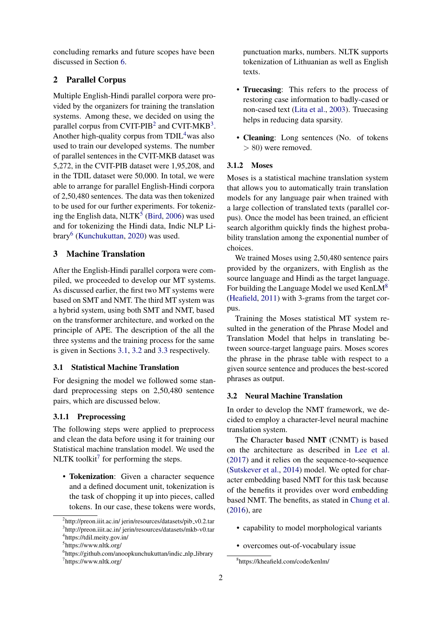concluding remarks and future scopes have been discussed in Section [6.](#page-3-2)

# <span id="page-1-0"></span>2 Parallel Corpus

Multiple English-Hindi parallel corpora were provided by the organizers for training the translation systems. Among these, we decided on using the parallel corpus from CVIT-PIB<sup>[2](#page-1-2)</sup> and CVIT-MKB<sup>[3](#page-1-3)</sup>. Another high-quality corpus from  $TDL<sup>4</sup>$  $TDL<sup>4</sup>$  $TDL<sup>4</sup>$  was also used to train our developed systems. The number of parallel sentences in the CVIT-MKB dataset was 5,272, in the CVIT-PIB dataset were 1,95,208, and in the TDIL dataset were 50,000. In total, we were able to arrange for parallel English-Hindi corpora of 2,50,480 sentences. The data was then tokenized to be used for our further experiments. For tokenizing the English data,  $NLTK<sup>5</sup>$  $NLTK<sup>5</sup>$  $NLTK<sup>5</sup>$  [\(Bird,](#page-4-3) [2006\)](#page-4-3) was used and for tokenizing the Hindi data, Indic NLP Li-brary<sup>[6](#page-1-6)</sup> [\(Kunchukuttan,](#page-4-4) [2020\)](#page-4-4) was used.

## <span id="page-1-1"></span>3 Machine Translation

After the English-Hindi parallel corpora were compiled, we proceeded to develop our MT systems. As discussed earlier, the first two MT systems were based on SMT and NMT. The third MT system was a hybrid system, using both SMT and NMT, based on the transformer architecture, and worked on the principle of APE. The description of the all the three systems and the training process for the same is given in Sections [3.1,](#page-1-7) [3.2](#page-1-8) and [3.3](#page-2-0) respectively.

# <span id="page-1-7"></span>3.1 Statistical Machine Translation

For designing the model we followed some standard preprocessing steps on 2,50,480 sentence pairs, which are discussed below.

## 3.1.1 Preprocessing

The following steps were applied to preprocess and clean the data before using it for training our Statistical machine translation model. We used the NLTK toolkit<sup>[7](#page-1-9)</sup> for performing the steps.

• Tokenization: Given a character sequence and a defined document unit, tokenization is the task of chopping it up into pieces, called tokens. In our case, these tokens were words, punctuation marks, numbers. NLTK supports tokenization of Lithuanian as well as English texts.

- Truecasing: This refers to the process of restoring case information to badly-cased or non-cased text [\(Lita et al.,](#page-4-5) [2003\)](#page-4-5). Truecasing helps in reducing data sparsity.
- Cleaning: Long sentences (No. of tokens > 80) were removed.

#### 3.1.2 Moses

Moses is a statistical machine translation system that allows you to automatically train translation models for any language pair when trained with a large collection of translated texts (parallel corpus). Once the model has been trained, an efficient search algorithm quickly finds the highest probability translation among the exponential number of choices.

We trained Moses using 2,50,480 sentence pairs provided by the organizers, with English as the source language and Hindi as the target language. For building the Language Model we used KenLM<sup>[8](#page-1-10)</sup> [\(Heafield,](#page-4-6) [2011\)](#page-4-6) with 3-grams from the target corpus.

Training the Moses statistical MT system resulted in the generation of the Phrase Model and Translation Model that helps in translating between source-target language pairs. Moses scores the phrase in the phrase table with respect to a given source sentence and produces the best-scored phrases as output.

#### <span id="page-1-8"></span>3.2 Neural Machine Translation

In order to develop the NMT framework, we decided to employ a character-level neural machine translation system.

The Character based NMT (CNMT) is based on the architecture as described in [Lee et al.](#page-4-7) [\(2017\)](#page-4-7) and it relies on the sequence-to-sequence [\(Sutskever et al.,](#page-4-8) [2014\)](#page-4-8) model. We opted for character embedding based NMT for this task because of the benefits it provides over word embedding based NMT. The benefits, as stated in [Chung et al.](#page-4-9) [\(2016\)](#page-4-9), are

- capability to model morphological variants
- overcomes out-of-vocabulary issue

<span id="page-1-3"></span><span id="page-1-2"></span><sup>&</sup>lt;sup>2</sup>http://preon.iiit.ac.in/ jerin/resources/datasets/pib\_v0.2.tar <sup>3</sup>http://preon.iiit.ac.in/ jerin/resources/datasets/mkb-v0.tar 4 https://tdil.meity.gov.in/

<span id="page-1-5"></span><span id="page-1-4"></span><sup>5</sup> https://www.nltk.org/

<span id="page-1-9"></span><span id="page-1-6"></span><sup>&</sup>lt;sup>6</sup>https://github.com/anoopkunchukuttan/indic\_nlp\_library 7 https://www.nltk.org/

<span id="page-1-10"></span><sup>8</sup> https://kheafield.com/code/kenlm/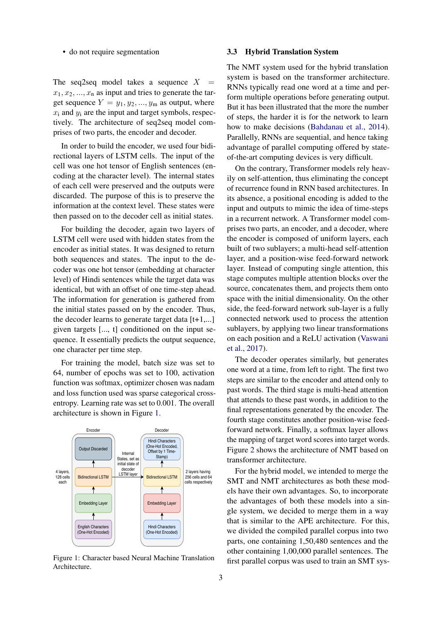#### • do not require segmentation

The seq2seq model takes a sequence  $X$  $x_1, x_2, ..., x_n$  as input and tries to generate the target sequence  $Y = y_1, y_2, ..., y_m$  as output, where  $x_i$  and  $y_i$  are the input and target symbols, respectively. The architecture of seq2seq model comprises of two parts, the encoder and decoder.

In order to build the encoder, we used four bidirectional layers of LSTM cells. The input of the cell was one hot tensor of English sentences (encoding at the character level). The internal states of each cell were preserved and the outputs were discarded. The purpose of this is to preserve the information at the context level. These states were then passed on to the decoder cell as initial states.

For building the decoder, again two layers of LSTM cell were used with hidden states from the encoder as initial states. It was designed to return both sequences and states. The input to the decoder was one hot tensor (embedding at character level) of Hindi sentences while the target data was identical, but with an offset of one time-step ahead. The information for generation is gathered from the initial states passed on by the encoder. Thus, the decoder learns to generate target data [t+1,...] given targets [..., t] conditioned on the input sequence. It essentially predicts the output sequence, one character per time step.

For training the model, batch size was set to 64, number of epochs was set to 100, activation function was softmax, optimizer chosen was nadam and loss function used was sparse categorical crossentropy. Learning rate was set to 0.001. The overall architecture is shown in Figure [1.](#page-2-1)

<span id="page-2-1"></span>

Figure 1: Character based Neural Machine Translation Architecture.

### <span id="page-2-0"></span>3.3 Hybrid Translation System

The NMT system used for the hybrid translation system is based on the transformer architecture. RNNs typically read one word at a time and perform multiple operations before generating output. But it has been illustrated that the more the number of steps, the harder it is for the network to learn how to make decisions [\(Bahdanau et al.,](#page-4-10) [2014\)](#page-4-10). Parallelly, RNNs are sequential, and hence taking advantage of parallel computing offered by stateof-the-art computing devices is very difficult.

On the contrary, Transformer models rely heavily on self-attention, thus eliminating the concept of recurrence found in RNN based architectures. In its absence, a positional encoding is added to the input and outputs to mimic the idea of time-steps in a recurrent network. A Transformer model comprises two parts, an encoder, and a decoder, where the encoder is composed of uniform layers, each built of two sublayers; a multi-head self-attention layer, and a position-wise feed-forward network layer. Instead of computing single attention, this stage computes multiple attention blocks over the source, concatenates them, and projects them onto space with the initial dimensionality. On the other side, the feed-forward network sub-layer is a fully connected network used to process the attention sublayers, by applying two linear transformations on each position and a ReLU activation [\(Vaswani](#page-4-2) [et al.,](#page-4-2) [2017\)](#page-4-2).

The decoder operates similarly, but generates one word at a time, from left to right. The first two steps are similar to the encoder and attend only to past words. The third stage is multi-head attention that attends to these past words, in addition to the final representations generated by the encoder. The fourth stage constitutes another position-wise feedforward network. Finally, a softmax layer allows the mapping of target word scores into target words. Figure [2](#page-3-3) shows the architecture of NMT based on transformer architecture.

For the hybrid model, we intended to merge the SMT and NMT architectures as both these models have their own advantages. So, to incorporate the advantages of both these models into a single system, we decided to merge them in a way that is similar to the APE architecture. For this, we divided the compiled parallel corpus into two parts, one containing 1,50,480 sentences and the other containing 1,00,000 parallel sentences. The first parallel corpus was used to train an SMT sys-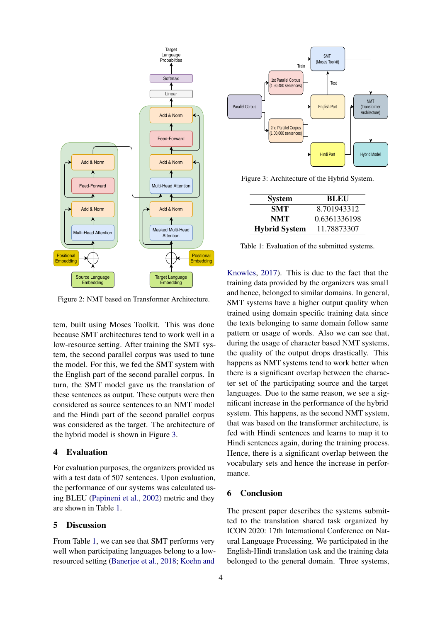<span id="page-3-3"></span>

Figure 2: NMT based on Transformer Architecture.

tem, built using Moses Toolkit. This was done because SMT architectures tend to work well in a low-resource setting. After training the SMT system, the second parallel corpus was used to tune the model. For this, we fed the SMT system with the English part of the second parallel corpus. In turn, the SMT model gave us the translation of these sentences as output. These outputs were then considered as source sentences to an NMT model and the Hindi part of the second parallel corpus was considered as the target. The architecture of the hybrid model is shown in Figure [3.](#page-3-4)

#### <span id="page-3-0"></span>4 Evaluation

For evaluation purposes, the organizers provided us with a test data of 507 sentences. Upon evaluation, the performance of our systems was calculated using BLEU [\(Papineni et al.,](#page-4-11) [2002\)](#page-4-11) metric and they are shown in Table [1.](#page-3-5)

### <span id="page-3-1"></span>5 Discussion

From Table [1,](#page-3-5) we can see that SMT performs very well when participating languages belong to a lowresourced setting [\(Banerjee et al.,](#page-4-12) [2018;](#page-4-12) [Koehn and](#page-4-13)

<span id="page-3-4"></span>

<span id="page-3-5"></span>Figure 3: Architecture of the Hybrid System.

| <b>System</b>        | <b>BLEU</b>  |
|----------------------|--------------|
| SMT                  | 8.701943312  |
| <b>NMT</b>           | 0.6361336198 |
| <b>Hybrid System</b> | 11.78873307  |

Table 1: Evaluation of the submitted systems.

[Knowles,](#page-4-13) [2017\)](#page-4-13). This is due to the fact that the training data provided by the organizers was small and hence, belonged to similar domains. In general, SMT systems have a higher output quality when trained using domain specific training data since the texts belonging to same domain follow same pattern or usage of words. Also we can see that, during the usage of character based NMT systems, the quality of the output drops drastically. This happens as NMT systems tend to work better when there is a significant overlap between the character set of the participating source and the target languages. Due to the same reason, we see a significant increase in the performance of the hybrid system. This happens, as the second NMT system, that was based on the transformer architecture, is fed with Hindi sentences and learns to map it to Hindi sentences again, during the training process. Hence, there is a significant overlap between the vocabulary sets and hence the increase in performance.

## <span id="page-3-2"></span>6 Conclusion

The present paper describes the systems submitted to the translation shared task organized by ICON 2020: 17th International Conference on Natural Language Processing. We participated in the English-Hindi translation task and the training data belonged to the general domain. Three systems,